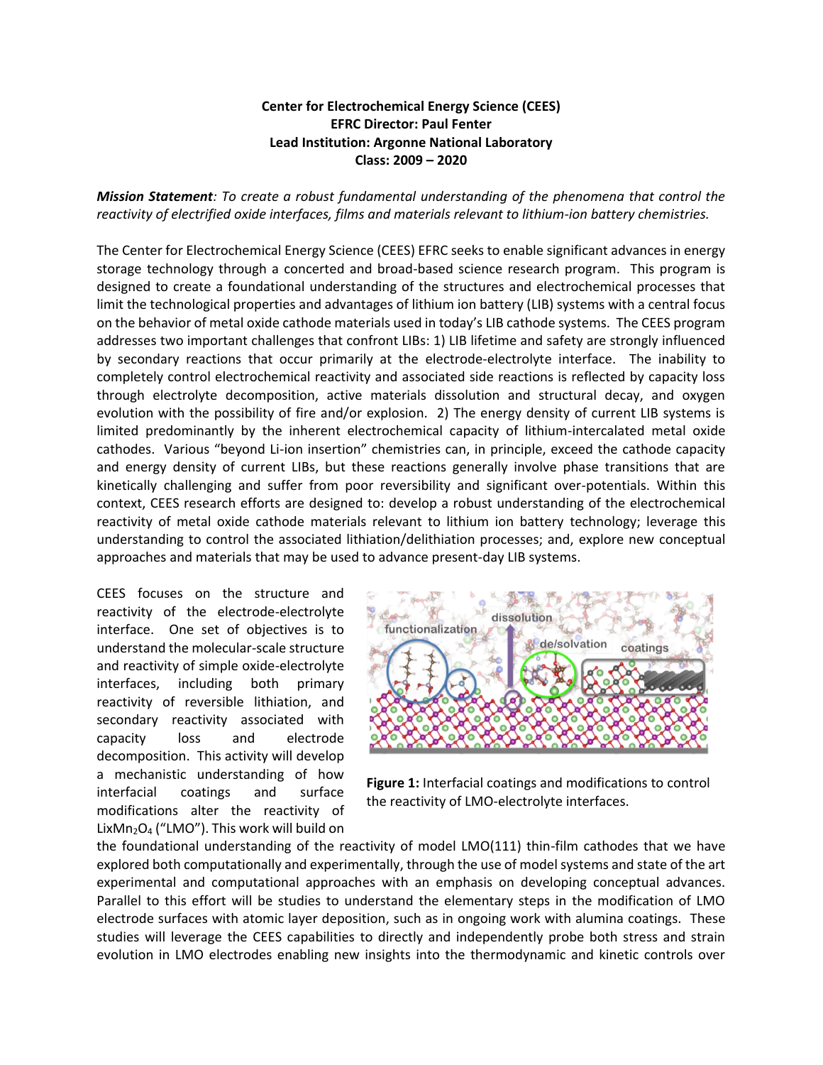## **Center for Electrochemical Energy Science (CEES) EFRC Director: Paul Fenter Lead Institution: Argonne National Laboratory Class: 2009 – 2020**

*Mission Statement: To create a robust fundamental understanding of the phenomena that control the reactivity of electrified oxide interfaces, films and materials relevant to lithium-ion battery chemistries.*

The Center for Electrochemical Energy Science (CEES) EFRC seeks to enable significant advances in energy storage technology through a concerted and broad-based science research program. This program is designed to create a foundational understanding of the structures and electrochemical processes that limit the technological properties and advantages of lithium ion battery (LIB) systems with a central focus on the behavior of metal oxide cathode materials used in today's LIB cathode systems. The CEES program addresses two important challenges that confront LIBs: 1) LIB lifetime and safety are strongly influenced by secondary reactions that occur primarily at the electrode-electrolyte interface. The inability to completely control electrochemical reactivity and associated side reactions is reflected by capacity loss through electrolyte decomposition, active materials dissolution and structural decay, and oxygen evolution with the possibility of fire and/or explosion. 2) The energy density of current LIB systems is limited predominantly by the inherent electrochemical capacity of lithium-intercalated metal oxide cathodes. Various "beyond Li-ion insertion" chemistries can, in principle, exceed the cathode capacity and energy density of current LIBs, but these reactions generally involve phase transitions that are kinetically challenging and suffer from poor reversibility and significant over-potentials. Within this context, CEES research efforts are designed to: develop a robust understanding of the electrochemical reactivity of metal oxide cathode materials relevant to lithium ion battery technology; leverage this understanding to control the associated lithiation/delithiation processes; and, explore new conceptual approaches and materials that may be used to advance present-day LIB systems.

CEES focuses on the structure and reactivity of the electrode-electrolyte interface. One set of objectives is to understand the molecular-scale structure and reactivity of simple oxide-electrolyte interfaces, including both primary reactivity of reversible lithiation, and secondary reactivity associated with capacity loss and electrode decomposition. This activity will develop a mechanistic understanding of how interfacial coatings and surface modifications alter the reactivity of LixMn<sub>2</sub>O<sub>4</sub> ("LMO"). This work will build on



**Figure 1:** Interfacial coatings and modifications to control the reactivity of LMO-electrolyte interfaces.

the foundational understanding of the reactivity of model LMO(111) thin-film cathodes that we have explored both computationally and experimentally, through the use of model systems and state of the art experimental and computational approaches with an emphasis on developing conceptual advances. Parallel to this effort will be studies to understand the elementary steps in the modification of LMO electrode surfaces with atomic layer deposition, such as in ongoing work with alumina coatings. These studies will leverage the CEES capabilities to directly and independently probe both stress and strain evolution in LMO electrodes enabling new insights into the thermodynamic and kinetic controls over